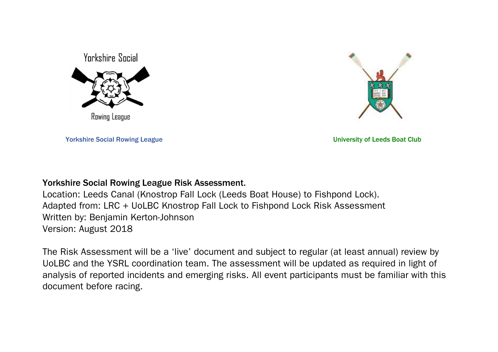



Yorkshire Social Rowing League University of Leeds Boat Club

## Yorkshire Social Rowing League Risk Assessment.

Location: Leeds Canal (Knostrop Fall Lock (Leeds Boat House) to Fishpond Lock). Adapted from: LRC + UoLBC Knostrop Fall Lock to Fishpond Lock Risk Assessment Written by: Benjamin Kerton-Johnson Version: August 2018

The Risk Assessment will be a 'live' document and subject to regular (at least annual) review by UoLBC and the YSRL coordination team. The assessment will be updated as required in light of analysis of reported incidents and emerging risks. All event participants must be familiar with this document before racing.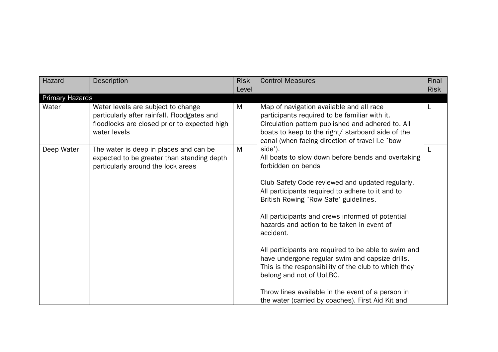| Hazard          | Description                                                                                                                                       | <b>Risk</b><br>Level | <b>Control Measures</b>                                                                                                                                                                                                                                                                                                                                                                                                                                                                                                                                                                                                                                      | Final<br><b>Risk</b> |
|-----------------|---------------------------------------------------------------------------------------------------------------------------------------------------|----------------------|--------------------------------------------------------------------------------------------------------------------------------------------------------------------------------------------------------------------------------------------------------------------------------------------------------------------------------------------------------------------------------------------------------------------------------------------------------------------------------------------------------------------------------------------------------------------------------------------------------------------------------------------------------------|----------------------|
| Primary Hazards |                                                                                                                                                   |                      |                                                                                                                                                                                                                                                                                                                                                                                                                                                                                                                                                                                                                                                              |                      |
| Water           | Water levels are subject to change<br>particularly after rainfall. Floodgates and<br>floodlocks are closed prior to expected high<br>water levels | M                    | Map of navigation available and all race<br>participants required to be familiar with it.<br>Circulation pattern published and adhered to. All<br>boats to keep to the right/ starboard side of the<br>canal (when facing direction of travel I.e `bow                                                                                                                                                                                                                                                                                                                                                                                                       |                      |
| Deep Water      | The water is deep in places and can be<br>expected to be greater than standing depth<br>particularly around the lock areas                        | M                    | side').<br>All boats to slow down before bends and overtaking<br>forbidden on bends<br>Club Safety Code reviewed and updated regularly.<br>All participants required to adhere to it and to<br>British Rowing `Row Safe' guidelines.<br>All participants and crews informed of potential<br>hazards and action to be taken in event of<br>accident.<br>All participants are required to be able to swim and<br>have undergone regular swim and capsize drills.<br>This is the responsibility of the club to which they<br>belong and not of UoLBC.<br>Throw lines available in the event of a person in<br>the water (carried by coaches). First Aid Kit and | L                    |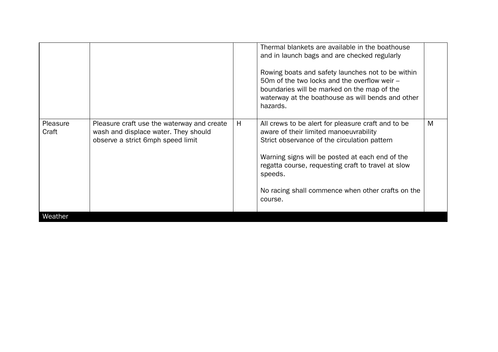|                   |                                                                                                                         |   | Rowing boats and safety launches not to be within<br>50m of the two locks and the overflow weir -<br>boundaries will be marked on the map of the<br>waterway at the boathouse as will bends and other<br>hazards.                                                                                                                |   |
|-------------------|-------------------------------------------------------------------------------------------------------------------------|---|----------------------------------------------------------------------------------------------------------------------------------------------------------------------------------------------------------------------------------------------------------------------------------------------------------------------------------|---|
| Pleasure<br>Craft | Pleasure craft use the waterway and create<br>wash and displace water. They should<br>observe a strict 6mph speed limit | H | All crews to be alert for pleasure craft and to be<br>aware of their limited manoeuvrability<br>Strict observance of the circulation pattern<br>Warning signs will be posted at each end of the<br>regatta course, requesting craft to travel at slow<br>speeds.<br>No racing shall commence when other crafts on the<br>course. | M |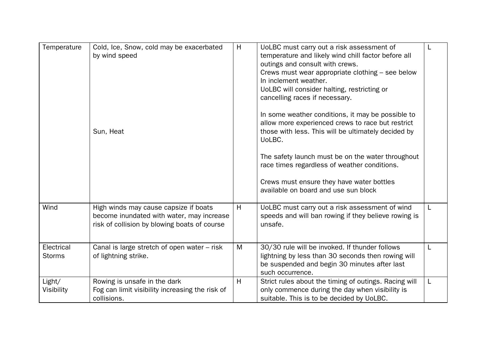| Temperature                 | Cold, Ice, Snow, cold may be exacerbated<br>by wind speed<br>Sun, Heat                                                             | H | UoLBC must carry out a risk assessment of<br>temperature and likely wind chill factor before all<br>outings and consult with crews.<br>Crews must wear appropriate clothing – see below<br>In inclement weather.<br>UoLBC will consider halting, restricting or<br>cancelling races if necessary.<br>In some weather conditions, it may be possible to<br>allow more experienced crews to race but restrict<br>those with less. This will be ultimately decided by<br>UoLBC.<br>The safety launch must be on the water throughout<br>race times regardless of weather conditions.<br>Crews must ensure they have water bottles<br>available on board and use sun block |   |
|-----------------------------|------------------------------------------------------------------------------------------------------------------------------------|---|------------------------------------------------------------------------------------------------------------------------------------------------------------------------------------------------------------------------------------------------------------------------------------------------------------------------------------------------------------------------------------------------------------------------------------------------------------------------------------------------------------------------------------------------------------------------------------------------------------------------------------------------------------------------|---|
| Wind                        | High winds may cause capsize if boats<br>become inundated with water, may increase<br>risk of collision by blowing boats of course | H | UoLBC must carry out a risk assessment of wind<br>speeds and will ban rowing if they believe rowing is<br>unsafe.                                                                                                                                                                                                                                                                                                                                                                                                                                                                                                                                                      | L |
| Electrical<br><b>Storms</b> | Canal is large stretch of open water – risk<br>of lightning strike.                                                                | M | 30/30 rule will be invoked. If thunder follows<br>lightning by less than 30 seconds then rowing will<br>be suspended and begin 30 minutes after last<br>such occurrence.                                                                                                                                                                                                                                                                                                                                                                                                                                                                                               | L |
| Light/<br>Visibility        | Rowing is unsafe in the dark<br>Fog can limit visibility increasing the risk of<br>collisions.                                     | H | Strict rules about the timing of outings. Racing will<br>only commence during the day when visibility is<br>suitable. This is to be decided by UoLBC.                                                                                                                                                                                                                                                                                                                                                                                                                                                                                                                  | L |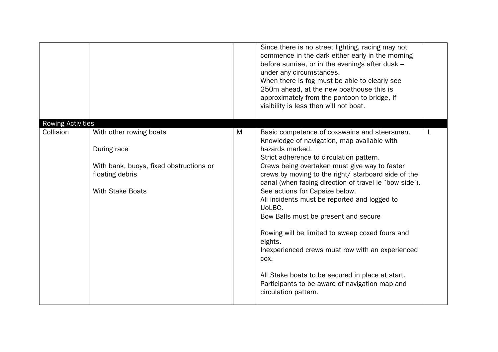|                                |                                                                                                                                 |   | Since there is no street lighting, racing may not<br>commence in the dark either early in the morning<br>before sunrise, or in the evenings after dusk -<br>under any circumstances.<br>When there is fog must be able to clearly see<br>250m ahead, at the new boathouse this is<br>approximately from the pontoon to bridge, if<br>visibility is less then will not boat.                                                                                                                                                                                                                                                                                                                                              |   |
|--------------------------------|---------------------------------------------------------------------------------------------------------------------------------|---|--------------------------------------------------------------------------------------------------------------------------------------------------------------------------------------------------------------------------------------------------------------------------------------------------------------------------------------------------------------------------------------------------------------------------------------------------------------------------------------------------------------------------------------------------------------------------------------------------------------------------------------------------------------------------------------------------------------------------|---|
| Rowing Activities<br>Collision | With other rowing boats<br>During race<br>With bank, buoys, fixed obstructions or<br>floating debris<br><b>With Stake Boats</b> | M | Basic competence of coxswains and steersmen.<br>Knowledge of navigation, map available with<br>hazards marked.<br>Strict adherence to circulation pattern.<br>Crews being overtaken must give way to faster<br>crews by moving to the right/ starboard side of the<br>canal (when facing direction of travel ie `bow side').<br>See actions for Capsize below.<br>All incidents must be reported and logged to<br>UoLBC.<br>Bow Balls must be present and secure<br>Rowing will be limited to sweep coxed fours and<br>eights.<br>Inexperienced crews must row with an experienced<br>COX.<br>All Stake boats to be secured in place at start.<br>Participants to be aware of navigation map and<br>circulation pattern. | L |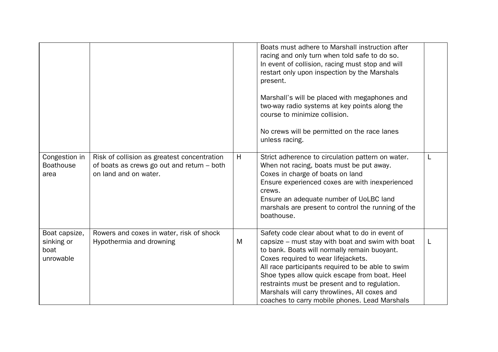|                                                  |                                                                                                                    |   | Boats must adhere to Marshall instruction after<br>racing and only turn when told safe to do so.<br>In event of collision, racing must stop and will<br>restart only upon inspection by the Marshals<br>present.<br>Marshall's will be placed with megaphones and<br>two-way radio systems at key points along the<br>course to minimize collision.<br>No crews will be permitted on the race lanes<br>unless racing.                              |  |
|--------------------------------------------------|--------------------------------------------------------------------------------------------------------------------|---|----------------------------------------------------------------------------------------------------------------------------------------------------------------------------------------------------------------------------------------------------------------------------------------------------------------------------------------------------------------------------------------------------------------------------------------------------|--|
| Congestion in<br><b>Boathouse</b><br>area        | Risk of collision as greatest concentration<br>of boats as crews go out and return - both<br>on land and on water. | H | Strict adherence to circulation pattern on water.<br>When not racing, boats must be put away.<br>Coxes in charge of boats on land<br>Ensure experienced coxes are with inexperienced<br>crews.<br>Ensure an adequate number of UoLBC land<br>marshals are present to control the running of the<br>boathouse.                                                                                                                                      |  |
| Boat capsize,<br>sinking or<br>boat<br>unrowable | Rowers and coxes in water, risk of shock<br>Hypothermia and drowning                                               | M | Safety code clear about what to do in event of<br>capsize – must stay with boat and swim with boat<br>to bank. Boats will normally remain buoyant.<br>Coxes required to wear lifejackets.<br>All race participants required to be able to swim<br>Shoe types allow quick escape from boat. Heel<br>restraints must be present and to regulation.<br>Marshals will carry throwlines, All coxes and<br>coaches to carry mobile phones. Lead Marshals |  |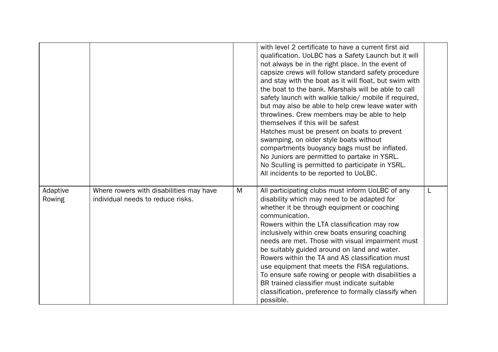|                    |                                                                              |   | with level 2 certificate to have a current first aid<br>qualification. UoLBC has a Safety Launch but it will<br>not always be in the right place. In the event of<br>capsize crews will follow standard safety procedure<br>and stay with the boat as it will float, but swim with<br>the boat to the bank. Marshals will be able to call<br>safety launch with walkie talkie/ mobile if required,<br>but may also be able to help crew leave water with<br>throwlines. Crew members may be able to help<br>themselves if this will be safest<br>Hatches must be present on boats to prevent<br>swamping, on older style boats without<br>compartments buoyancy bags must be inflated.<br>No Juniors are permitted to partake in YSRL.<br>No Sculling is permitted to participate in YSRL.<br>All incidents to be reported to UoLBC. |   |
|--------------------|------------------------------------------------------------------------------|---|--------------------------------------------------------------------------------------------------------------------------------------------------------------------------------------------------------------------------------------------------------------------------------------------------------------------------------------------------------------------------------------------------------------------------------------------------------------------------------------------------------------------------------------------------------------------------------------------------------------------------------------------------------------------------------------------------------------------------------------------------------------------------------------------------------------------------------------|---|
| Adaptive<br>Rowing | Where rowers with disabilities may have<br>individual needs to reduce risks. | M | All participating clubs must inform UoLBC of any<br>disability which may need to be adapted for<br>whether it be through equipment or coaching<br>communication.<br>Rowers within the LTA classification may row<br>inclusively within crew boats ensuring coaching<br>needs are met. Those with visual impairment must<br>be suitably guided around on land and water.<br>Rowers within the TA and AS classification must<br>use equipment that meets the FISA regulations.<br>To ensure safe rowing or people with disabilities a<br>BR trained classifier must indicate suitable<br>classification, preference to formally classify when<br>possible.                                                                                                                                                                             | L |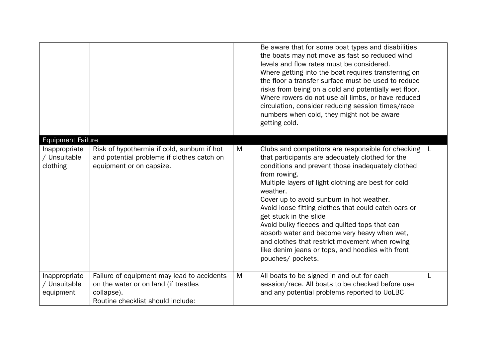| <b>Equipment Failure</b>                   |                                                                                                                                       |   | Be aware that for some boat types and disabilities<br>the boats may not move as fast so reduced wind<br>levels and flow rates must be considered.<br>Where getting into the boat requires transferring on<br>the floor a transfer surface must be used to reduce<br>risks from being on a cold and potentially wet floor.<br>Where rowers do not use all limbs, or have reduced<br>circulation, consider reducing session times/race<br>numbers when cold, they might not be aware<br>getting cold.                                                                                                       |   |
|--------------------------------------------|---------------------------------------------------------------------------------------------------------------------------------------|---|-----------------------------------------------------------------------------------------------------------------------------------------------------------------------------------------------------------------------------------------------------------------------------------------------------------------------------------------------------------------------------------------------------------------------------------------------------------------------------------------------------------------------------------------------------------------------------------------------------------|---|
| Inappropriate<br>/ Unsuitable<br>clothing  | Risk of hypothermia if cold, sunburn if hot<br>and potential problems if clothes catch on<br>equipment or on capsize.                 | M | Clubs and competitors are responsible for checking<br>that participants are adequately clothed for the<br>conditions and prevent those inadequately clothed<br>from rowing.<br>Multiple layers of light clothing are best for cold<br>weather.<br>Cover up to avoid sunburn in hot weather.<br>Avoid loose fitting clothes that could catch oars or<br>get stuck in the slide<br>Avoid bulky fleeces and quilted tops that can<br>absorb water and become very heavy when wet,<br>and clothes that restrict movement when rowing<br>like denim jeans or tops, and hoodies with front<br>pouches/ pockets. | L |
| Inappropriate<br>/ Unsuitable<br>equipment | Failure of equipment may lead to accidents<br>on the water or on land (if trestles<br>collapse).<br>Routine checklist should include: | M | All boats to be signed in and out for each<br>session/race. All boats to be checked before use<br>and any potential problems reported to UoLBC                                                                                                                                                                                                                                                                                                                                                                                                                                                            | L |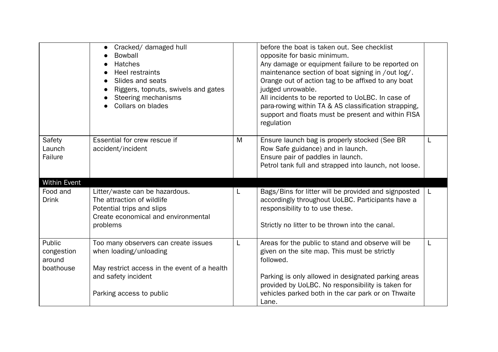|                                 | Cracked/ damaged hull<br><b>Bowball</b><br><b>Hatches</b><br>Heel restraints<br>Slides and seats<br>Riggers, topnuts, swivels and gates<br>Steering mechanisms<br>Collars on blades |   | before the boat is taken out. See checklist<br>opposite for basic minimum.<br>Any damage or equipment failure to be reported on<br>maintenance section of boat signing in /out log/.<br>Orange out of action tag to be affixed to any boat<br>judged unrowable.<br>All incidents to be reported to UoLBC. In case of<br>para-rowing within TA & AS classification strapping,<br>support and floats must be present and within FISA<br>regulation |              |
|---------------------------------|-------------------------------------------------------------------------------------------------------------------------------------------------------------------------------------|---|--------------------------------------------------------------------------------------------------------------------------------------------------------------------------------------------------------------------------------------------------------------------------------------------------------------------------------------------------------------------------------------------------------------------------------------------------|--------------|
| Safety<br>Launch<br>Failure     | Essential for crew rescue if<br>accident/incident                                                                                                                                   | M | Ensure launch bag is properly stocked (See BR<br>Row Safe guidance) and in launch.<br>Ensure pair of paddles in launch.<br>Petrol tank full and strapped into launch, not loose.                                                                                                                                                                                                                                                                 |              |
| <b>Within Event</b><br>Food and | Litter/waste can be hazardous.                                                                                                                                                      | L | Bags/Bins for litter will be provided and signposted                                                                                                                                                                                                                                                                                                                                                                                             | $\mathsf{L}$ |
| <b>Drink</b>                    | The attraction of wildlife<br>Potential trips and slips                                                                                                                             |   | accordingly throughout UoLBC. Participants have a<br>responsibility to to use these.                                                                                                                                                                                                                                                                                                                                                             |              |
|                                 | Create economical and environmental                                                                                                                                                 |   |                                                                                                                                                                                                                                                                                                                                                                                                                                                  |              |
|                                 | problems                                                                                                                                                                            |   | Strictly no litter to be thrown into the canal.                                                                                                                                                                                                                                                                                                                                                                                                  |              |
| Public<br>congestion<br>around  | Too many observers can create issues<br>when loading/unloading                                                                                                                      | L | Areas for the public to stand and observe will be<br>given on the site map. This must be strictly<br>followed.                                                                                                                                                                                                                                                                                                                                   | L            |
| boathouse                       | May restrict access in the event of a health                                                                                                                                        |   |                                                                                                                                                                                                                                                                                                                                                                                                                                                  |              |
|                                 | and safety incident                                                                                                                                                                 |   | Parking is only allowed in designated parking areas<br>provided by UoLBC. No responsibility is taken for                                                                                                                                                                                                                                                                                                                                         |              |
|                                 | Parking access to public                                                                                                                                                            |   | vehicles parked both in the car park or on Thwaite<br>Lane.                                                                                                                                                                                                                                                                                                                                                                                      |              |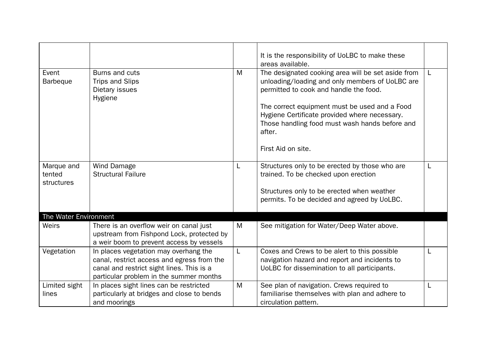|                                    |                                                                                                                                                                             |   | It is the responsibility of UoLBC to make these<br>areas available.                                                                                                                                                                                                                                                                 |   |
|------------------------------------|-----------------------------------------------------------------------------------------------------------------------------------------------------------------------------|---|-------------------------------------------------------------------------------------------------------------------------------------------------------------------------------------------------------------------------------------------------------------------------------------------------------------------------------------|---|
| Event<br><b>Barbeque</b>           | Burns and cuts<br>Trips and Slips<br>Dietary issues<br>Hygiene                                                                                                              | M | The designated cooking area will be set aside from<br>unloading/loading and only members of UoLBC are<br>permitted to cook and handle the food.<br>The correct equipment must be used and a Food<br>Hygiene Certificate provided where necessary.<br>Those handling food must wash hands before and<br>after.<br>First Aid on site. | L |
| Marque and<br>tented<br>structures | Wind Damage<br><b>Structural Failure</b>                                                                                                                                    | L | Structures only to be erected by those who are<br>trained. To be checked upon erection<br>Structures only to be erected when weather<br>permits. To be decided and agreed by UoLBC.                                                                                                                                                 | L |
| The Water Environment<br>Weirs     | There is an overflow weir on canal just<br>upstream from Fishpond Lock, protected by<br>a weir boom to prevent access by vessels                                            | M | See mitigation for Water/Deep Water above.                                                                                                                                                                                                                                                                                          |   |
| Vegetation                         | In places vegetation may overhang the<br>canal, restrict access and egress from the<br>canal and restrict sight lines. This is a<br>particular problem in the summer months | L | Coxes and Crews to be alert to this possible<br>navigation hazard and report and incidents to<br>UoLBC for dissemination to all participants.                                                                                                                                                                                       | L |
| Limited sight<br>lines             | In places sight lines can be restricted<br>particularly at bridges and close to bends<br>and moorings                                                                       | M | See plan of navigation. Crews required to<br>familiarise themselves with plan and adhere to<br>circulation pattern.                                                                                                                                                                                                                 | L |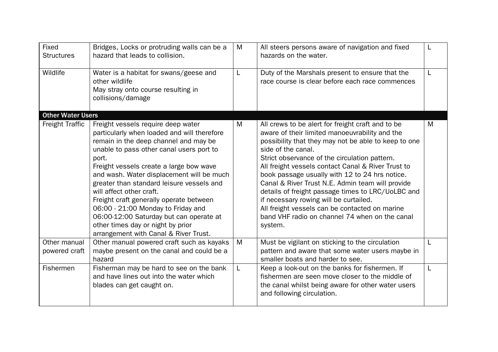| <b>Fixed</b><br><b>Structures</b> | Bridges, Locks or protruding walls can be a<br>hazard that leads to collision.                                                                                                                                                                                                                                                                                                                                                                                                                                                                             | M | All steers persons aware of navigation and fixed<br>hazards on the water.                                                                                                                                                                                                                                                                                                                                                                                                                                                                                                                                    |   |
|-----------------------------------|------------------------------------------------------------------------------------------------------------------------------------------------------------------------------------------------------------------------------------------------------------------------------------------------------------------------------------------------------------------------------------------------------------------------------------------------------------------------------------------------------------------------------------------------------------|---|--------------------------------------------------------------------------------------------------------------------------------------------------------------------------------------------------------------------------------------------------------------------------------------------------------------------------------------------------------------------------------------------------------------------------------------------------------------------------------------------------------------------------------------------------------------------------------------------------------------|---|
| Wildlife                          | Water is a habitat for swans/geese and<br>other wildlife<br>May stray onto course resulting in<br>collisions/damage                                                                                                                                                                                                                                                                                                                                                                                                                                        | L | Duty of the Marshals present to ensure that the<br>race course is clear before each race commences                                                                                                                                                                                                                                                                                                                                                                                                                                                                                                           | L |
| <b>Other Water Users</b>          |                                                                                                                                                                                                                                                                                                                                                                                                                                                                                                                                                            |   |                                                                                                                                                                                                                                                                                                                                                                                                                                                                                                                                                                                                              |   |
| <b>Freight Traffic</b>            | Freight vessels require deep water<br>particularly when loaded and will therefore<br>remain in the deep channel and may be<br>unable to pass other canal users port to<br>port.<br>Freight vessels create a large bow wave<br>and wash. Water displacement will be much<br>greater than standard leisure vessels and<br>will affect other craft.<br>Freight craft generally operate between<br>06:00 - 21:00 Monday to Friday and<br>06:00-12:00 Saturday but can operate at<br>other times day or night by prior<br>arrangement with Canal & River Trust. | M | All crews to be alert for freight craft and to be<br>aware of their limited manoeuvrability and the<br>possibility that they may not be able to keep to one<br>side of the canal.<br>Strict observance of the circulation pattern.<br>All freight vessels contact Canal & River Trust to<br>book passage usually with 12 to 24 hrs notice.<br>Canal & River Trust N.E. Admin team will provide<br>details of freight passage times to LRC/UoLBC and<br>if necessary rowing will be curtailed.<br>All freight vessels can be contacted on marine<br>band VHF radio on channel 74 when on the canal<br>system. | M |
| Other manual                      | Other manual powered craft such as kayaks                                                                                                                                                                                                                                                                                                                                                                                                                                                                                                                  | M | Must be vigilant on sticking to the circulation                                                                                                                                                                                                                                                                                                                                                                                                                                                                                                                                                              | L |
| powered craft                     | maybe present on the canal and could be a<br>hazard                                                                                                                                                                                                                                                                                                                                                                                                                                                                                                        |   | pattern and aware that some water users maybe in<br>smaller boats and harder to see.                                                                                                                                                                                                                                                                                                                                                                                                                                                                                                                         |   |
| Fishermen                         | Fisherman may be hard to see on the bank<br>and have lines out into the water which<br>blades can get caught on.                                                                                                                                                                                                                                                                                                                                                                                                                                           | L | Keep a look-out on the banks for fishermen. If<br>fishermen are seen move closer to the middle of<br>the canal whilst being aware for other water users<br>and following circulation.                                                                                                                                                                                                                                                                                                                                                                                                                        | L |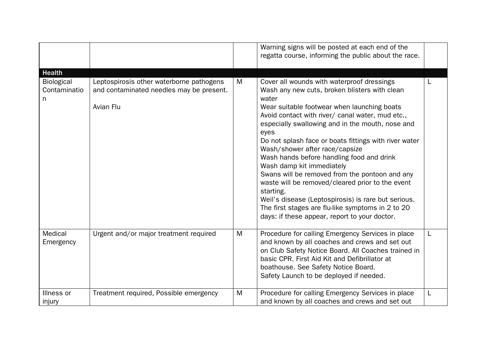|                                                          |                                                                                                   |   | Warning signs will be posted at each end of the<br>regatta course, informing the public about the race.                                                                                                                                                                                                                                                                                                                                                                                                                                                                                                                                                                                                                  |   |
|----------------------------------------------------------|---------------------------------------------------------------------------------------------------|---|--------------------------------------------------------------------------------------------------------------------------------------------------------------------------------------------------------------------------------------------------------------------------------------------------------------------------------------------------------------------------------------------------------------------------------------------------------------------------------------------------------------------------------------------------------------------------------------------------------------------------------------------------------------------------------------------------------------------------|---|
| <b>Health</b><br><b>Biological</b><br>Contaminatio<br>n. | Leptospirosis other waterborne pathogens<br>and contaminated needles may be present.<br>Avian Flu | M | Cover all wounds with waterproof dressings<br>Wash any new cuts, broken blisters with clean<br>water<br>Wear suitable footwear when launching boats<br>Avoid contact with river/ canal water, mud etc.,<br>especially swallowing and in the mouth, nose and<br>eyes<br>Do not splash face or boats fittings with river water<br>Wash/shower after race/capsize<br>Wash hands before handling food and drink<br>Wash damp kit immediately<br>Swans will be removed from the pontoon and any<br>waste will be removed/cleared prior to the event<br>starting.<br>Weil's disease (Leptospirosis) is rare but serious.<br>The first stages are flu-like symptoms in 2 to 20<br>days: if these appear, report to your doctor. |   |
| Medical<br>Emergency                                     | Urgent and/or major treatment required                                                            | M | Procedure for calling Emergency Services in place<br>and known by all coaches and crews and set out<br>on Club Safety Notice Board. All Coaches trained in<br>basic CPR. First Aid Kit and Defibrillator at<br>boathouse. See Safety Notice Board.<br>Safety Launch to be deployed if needed.                                                                                                                                                                                                                                                                                                                                                                                                                            | L |
| Illness or<br>injury                                     | Treatment required, Possible emergency                                                            | M | Procedure for calling Emergency Services in place<br>and known by all coaches and crews and set out                                                                                                                                                                                                                                                                                                                                                                                                                                                                                                                                                                                                                      | L |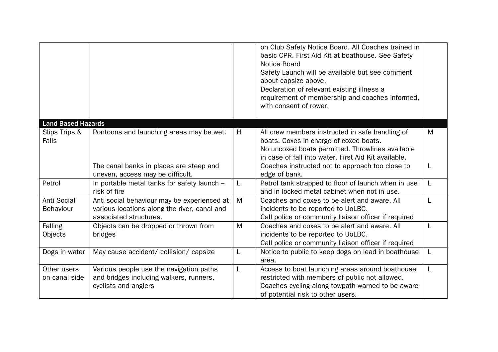|                                 |                                                                                                                       |   | on Club Safety Notice Board. All Coaches trained in<br>basic CPR. First Aid Kit at boathouse. See Safety<br>Notice Board<br>Safety Launch will be available but see comment<br>about capsize above.<br>Declaration of relevant existing illness a<br>requirement of membership and coaches informed,<br>with consent of rower. |   |
|---------------------------------|-----------------------------------------------------------------------------------------------------------------------|---|--------------------------------------------------------------------------------------------------------------------------------------------------------------------------------------------------------------------------------------------------------------------------------------------------------------------------------|---|
| <b>Land Based Hazards</b>       |                                                                                                                       |   |                                                                                                                                                                                                                                                                                                                                |   |
| Slips Trips &<br>Falls          | Pontoons and launching areas may be wet.                                                                              | H | All crew members instructed in safe handling of<br>boats. Coxes in charge of coxed boats.<br>No uncoxed boats permitted. Throwlines available<br>in case of fall into water. First Aid Kit available.                                                                                                                          | M |
|                                 | The canal banks in places are steep and<br>uneven, access may be difficult.                                           |   | Coaches instructed not to approach too close to<br>edge of bank.                                                                                                                                                                                                                                                               | L |
| Petrol                          | In portable metal tanks for safety launch -<br>risk of fire                                                           | L | Petrol tank strapped to floor of launch when in use<br>and in locked metal cabinet when not in use.                                                                                                                                                                                                                            | L |
| Anti Social<br><b>Behaviour</b> | Anti-social behaviour may be experienced at<br>various locations along the river, canal and<br>associated structures. | M | Coaches and coxes to be alert and aware. All<br>incidents to be reported to UoLBC.<br>Call police or community liaison officer if required                                                                                                                                                                                     | L |
| <b>Falling</b><br>Objects       | Objects can be dropped or thrown from<br>bridges                                                                      | M | Coaches and coxes to be alert and aware. All<br>incidents to be reported to UoLBC.<br>Call police or community liaison officer if required                                                                                                                                                                                     |   |
| Dogs in water                   | May cause accident/ collision/ capsize                                                                                | L | Notice to public to keep dogs on lead in boathouse<br>area.                                                                                                                                                                                                                                                                    | L |
| Other users<br>on canal side    | Various people use the navigation paths<br>and bridges including walkers, runners,<br>cyclists and anglers            | L | Access to boat launching areas around boathouse<br>restricted with members of public not allowed.<br>Coaches cycling along towpath warned to be aware<br>of potential risk to other users.                                                                                                                                     | L |